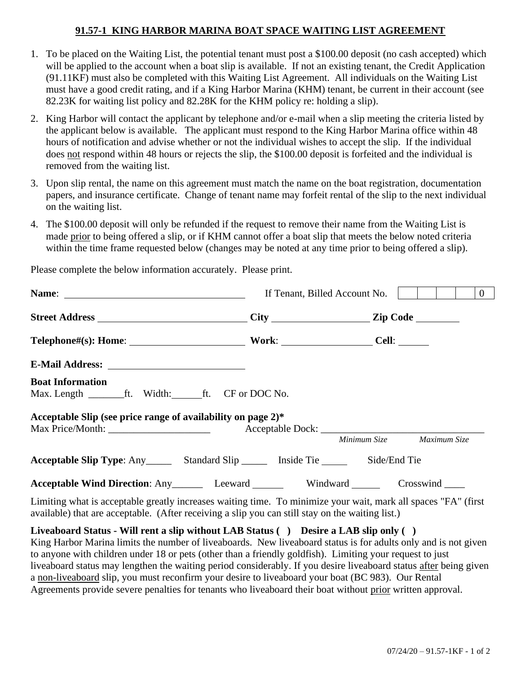## **91.57-1 KING HARBOR MARINA BOAT SPACE WAITING LIST AGREEMENT**

- 1. To be placed on the Waiting List, the potential tenant must post a \$100.00 deposit (no cash accepted) which will be applied to the account when a boat slip is available. If not an existing tenant, the Credit Application (91.11KF) must also be completed with this Waiting List Agreement. All individuals on the Waiting List must have a good credit rating, and if a King Harbor Marina (KHM) tenant, be current in their account (see 82.23K for waiting list policy and 82.28K for the KHM policy re: holding a slip).
- 2. King Harbor will contact the applicant by telephone and/or e-mail when a slip meeting the criteria listed by the applicant below is available. The applicant must respond to the King Harbor Marina office within 48 hours of notification and advise whether or not the individual wishes to accept the slip. If the individual does not respond within 48 hours or rejects the slip, the \$100.00 deposit is forfeited and the individual is removed from the waiting list.
- 3. Upon slip rental, the name on this agreement must match the name on the boat registration, documentation papers, and insurance certificate. Change of tenant name may forfeit rental of the slip to the next individual on the waiting list.
- 4. The \$100.00 deposit will only be refunded if the request to remove their name from the Waiting List is made prior to being offered a slip, or if KHM cannot offer a boat slip that meets the below noted criteria within the time frame requested below (changes may be noted at any time prior to being offered a slip).

|                                                                                                                                                                                                                    | If Tenant, Billed Account No. | $\overline{0}$ |  |  |
|--------------------------------------------------------------------------------------------------------------------------------------------------------------------------------------------------------------------|-------------------------------|----------------|--|--|
|                                                                                                                                                                                                                    |                               |                |  |  |
|                                                                                                                                                                                                                    |                               |                |  |  |
|                                                                                                                                                                                                                    |                               |                |  |  |
| <b>Boat Information</b><br>Max. Length ________ft. Width: ______ft. CF or DOC No.                                                                                                                                  |                               |                |  |  |
| Acceptable Slip (see price range of availability on page 2)*                                                                                                                                                       |                               |                |  |  |
|                                                                                                                                                                                                                    | Minimum Size Maximum Size     |                |  |  |
| <b>Acceptable Slip Type:</b> Any __________ Standard Slip ___________ Inside Tie ___________ Side/End Tie                                                                                                          |                               |                |  |  |
| Acceptable Wind Direction: Any Leeward Windward Crosswind ______                                                                                                                                                   |                               |                |  |  |
| Limiting what is acceptable greatly increases waiting time. To minimize your wait, mark all spaces "FA" (first<br>available) that are acceptable. (After receiving a slip you can still stay on the waiting list.) |                               |                |  |  |

Please complete the below information accurately. Please print.

**Liveaboard Status - Will rent a slip without LAB Status ( ) Desire a LAB slip only ( )** King Harbor Marina limits the number of liveaboards. New liveaboard status is for adults only and is not given to anyone with children under 18 or pets (other than a friendly goldfish). Limiting your request to just liveaboard status may lengthen the waiting period considerably. If you desire liveaboard status after being given a non-liveaboard slip, you must reconfirm your desire to liveaboard your boat (BC 983). Our Rental Agreements provide severe penalties for tenants who liveaboard their boat without prior written approval.